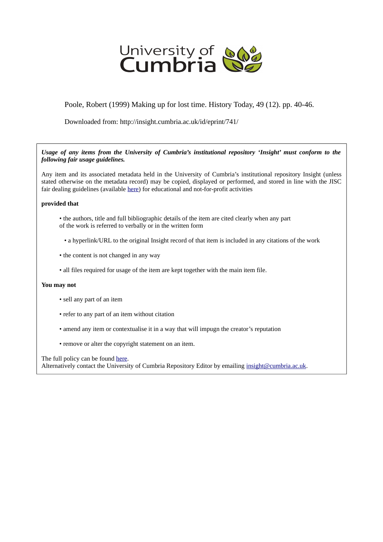

Poole, Robert (1999) Making up for lost time. History Today, 49 (12). pp. 40-46.

Downloaded from: http://insight.cumbria.ac.uk/id/eprint/741/

*Usage of any items from the University of Cumbria's institutional repository 'Insight' must conform to the following fair usage guidelines.*

Any item and its associated metadata held in the University of Cumbria's institutional repository Insight (unless stated otherwise on the metadata record) may be copied, displayed or performed, and stored in line with the JISC fair dealing guidelines (available [here\)](http://www.ukoln.ac.uk/services/elib/papers/pa/fair/) for educational and not-for-profit activities

## **provided that**

- the authors, title and full bibliographic details of the item are cited clearly when any part of the work is referred to verbally or in the written form
	- a hyperlink/URL to the original Insight record of that item is included in any citations of the work
- the content is not changed in any way
- all files required for usage of the item are kept together with the main item file.

## **You may not**

- sell any part of an item
- refer to any part of an item without citation
- amend any item or contextualise it in a way that will impugn the creator's reputation
- remove or alter the copyright statement on an item.

The full policy can be found [here.](http://insight.cumbria.ac.uk/legal.html#section5)

Alternatively contact the University of Cumbria Repository Editor by emailing [insight@cumbria.ac.uk.](mailto:insight@cumbria.ac.uk)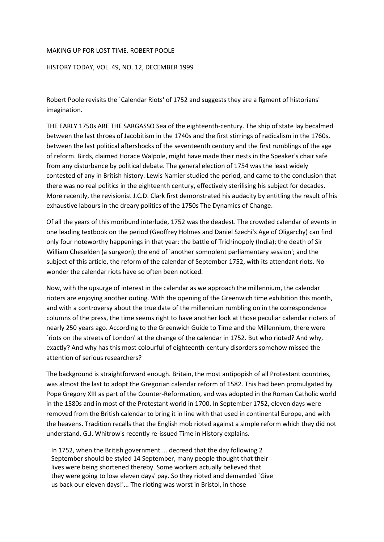## MAKING UP FOR LOST TIME. ROBERT POOLE

## HISTORY TODAY, VOL. 49, NO. 12, DECEMBER 1999

Robert Poole revisits the `Calendar Riots' of 1752 and suggests they are a figment of historians' imagination.

THE EARLY 1750s ARE THE SARGASSO Sea of the eighteenth-century. The ship of state lay becalmed between the last throes of Jacobitism in the 1740s and the first stirrings of radicalism in the 1760s, between the last political aftershocks of the seventeenth century and the first rumblings of the age of reform. Birds, claimed Horace Walpole, might have made their nests in the Speaker's chair safe from any disturbance by political debate. The general election of 1754 was the least widely contested of any in British history. Lewis Namier studied the period, and came to the conclusion that there was no real politics in the eighteenth century, effectively sterilising his subject for decades. More recently, the revisionist J.C.D. Clark first demonstrated his audacity by entitling the result of his exhaustive labours in the dreary politics of the 1750s The Dynamics of Change.

Of all the years of this moribund interlude, 1752 was the deadest. The crowded calendar of events in one leading textbook on the period (Geoffrey Holmes and Daniel Szechi's Age of Oligarchy) can find only four noteworthy happenings in that year: the battle of Trichinopoly (India); the death of Sir William Cheselden (a surgeon); the end of `another somnolent parliamentary session'; and the subject of this article, the reform of the calendar of September 1752, with its attendant riots. No wonder the calendar riots have so often been noticed.

Now, with the upsurge of interest in the calendar as we approach the millennium, the calendar rioters are enjoying another outing. With the opening of the Greenwich time exhibition this month, and with a controversy about the true date of the millennium rumbling on in the correspondence columns of the press, the time seems right to have another look at those peculiar calendar rioters of nearly 250 years ago. According to the Greenwich Guide to Time and the Millennium, there were `riots on the streets of London' at the change of the calendar in 1752. But who rioted? And why, exactly? And why has this most colourful of eighteenth-century disorders somehow missed the attention of serious researchers?

The background is straightforward enough. Britain, the most antipopish of all Protestant countries, was almost the last to adopt the Gregorian calendar reform of 1582. This had been promulgated by Pope Gregory XIII as part of the Counter-Reformation, and was adopted in the Roman Catholic world in the 1580s and in most of the Protestant world in 1700. In September 1752, eleven days were removed from the British calendar to bring it in line with that used in continental Europe, and with the heavens. Tradition recalls that the English mob rioted against a simple reform which they did not understand. G.J. Whitrow's recently re-issued Time in History explains.

 In 1752, when the British government ... decreed that the day following 2 September should be styled 14 September, many people thought that their lives were being shortened thereby. Some workers actually believed that they were going to lose eleven days' pay. So they rioted and demanded `Give us back our eleven days!'... The rioting was worst in Bristol, in those